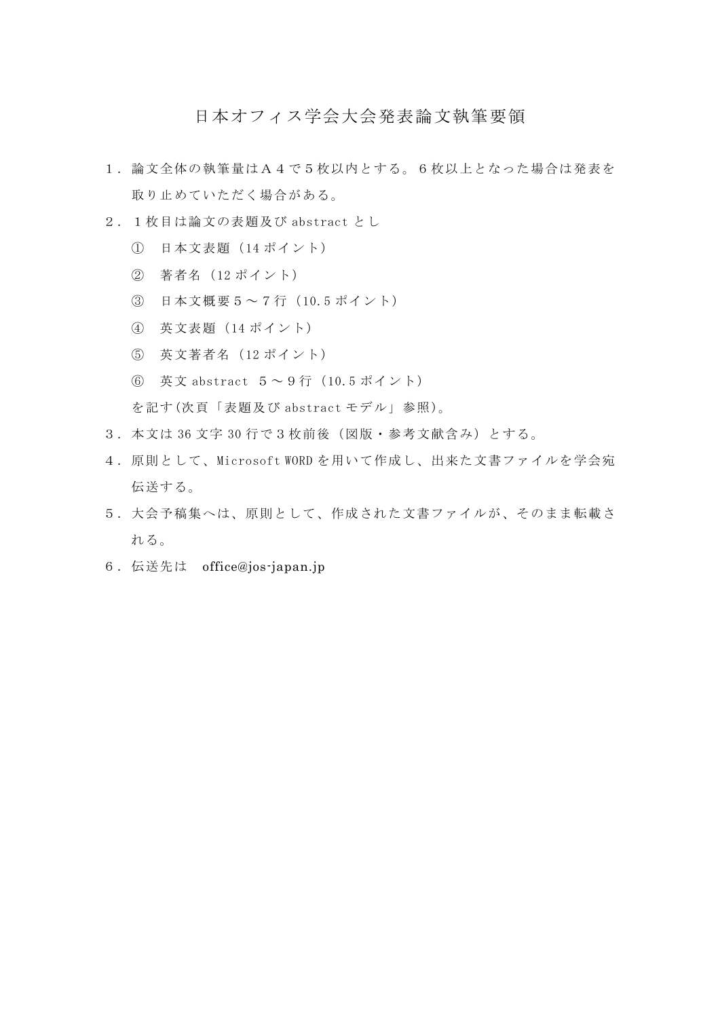## 日本オフィス学会大会発表論文執筆要領

- 1.論文全体の執筆量はA4で5枚以内とする。6枚以上となった場合は発表を 取り止めていただく場合がある。
- 2.1枚目は論文の表題及び abstract とし
	- ① 日本文表題(14 ポイント)
	- ② 著者名(12 ポイント)
	- ③ 日本文概要5~7行(10.5 ポイント)
	- ④ 英文表題(14 ポイント)
	- ⑤ 英文著者名(12 ポイント)
	- ⑥ 英文 abstract 5~9行(10.5 ポイント)

を記す(次頁「表題及び abstract モデル」参照)。

- 3.本文は 36 文字 30 行で3枚前後(図版・参考文献含み)とする。
- 4.原則として、Microsoft WORD を用いて作成し、出来た文書ファイルを学会宛 伝送する。
- 5.大会予稿集へは、原則として、作成された文書ファイルが、そのまま転載さ れる。
- 6.伝送先は office@jos-japan.jp